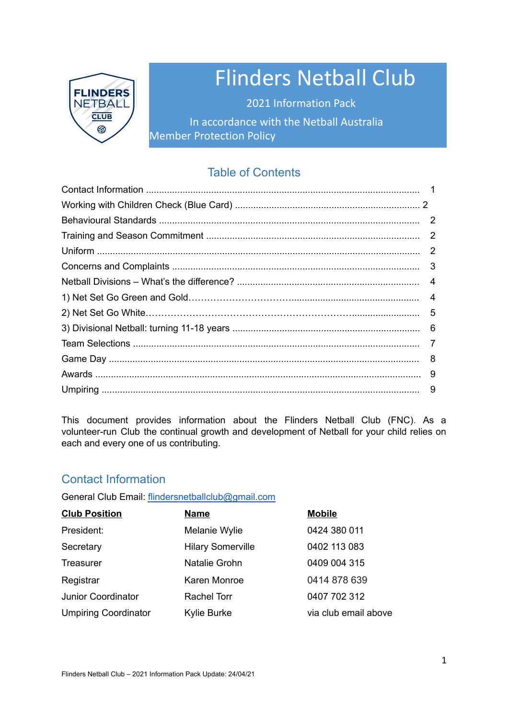

# Flinders Netball Club

2021 Information Pack In accordance with the Netball Australia Member Protection Policy

# Table of Contents

This document provides information about the Flinders Netball Club (FNC). As a volunteer-run Club the continual growth and development of Netball for your child relies on each and every one of us contributing.

# Contact Information

General Club Email: [flindersnetballclub@gmail.com](mailto:flindersnetballclub@gmail.com)

| <b>Club Position</b>        | <b>Name</b>              | <b>Mobile</b>        |
|-----------------------------|--------------------------|----------------------|
| President:                  | Melanie Wylie            | 0424 380 011         |
| Secretary                   | <b>Hilary Somerville</b> | 0402 113 083         |
| Treasurer                   | Natalie Grohn            | 0409 004 315         |
| Registrar                   | Karen Monroe             | 0414 878 639         |
| Junior Coordinator          | <b>Rachel Torr</b>       | 0407 702 312         |
| <b>Umpiring Coordinator</b> | Kylie Burke              | via club email above |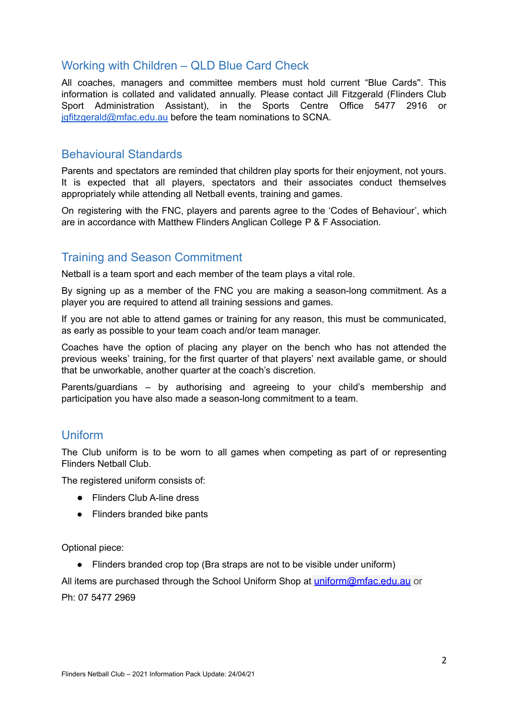# Working with Children – QLD Blue Card Check

All coaches, managers and committee members must hold current "Blue Cards''. This information is collated and validated annually. Please contact Jill Fitzgerald (Flinders Club Sport Administration Assistant), in the Sports Centre Office 5477 2916 or [jgfitzgerald@mfac.edu.au](mailto:jgfitzgerald@mfac.edu.au) before the team nominations to SCNA.

# Behavioural Standards

Parents and spectators are reminded that children play sports for their enjoyment, not yours. It is expected that all players, spectators and their associates conduct themselves appropriately while attending all Netball events, training and games.

On registering with the FNC, players and parents agree to the 'Codes of Behaviour', which are in accordance with Matthew Flinders Anglican College P & F Association.

# Training and Season Commitment

Netball is a team sport and each member of the team plays a vital role.

By signing up as a member of the FNC you are making a season-long commitment. As a player you are required to attend all training sessions and games.

If you are not able to attend games or training for any reason, this must be communicated, as early as possible to your team coach and/or team manager.

Coaches have the option of placing any player on the bench who has not attended the previous weeks' training, for the first quarter of that players' next available game, or should that be unworkable, another quarter at the coach's discretion.

Parents/guardians – by authorising and agreeing to your child's membership and participation you have also made a season-long commitment to a team.

# Uniform

The Club uniform is to be worn to all games when competing as part of or representing Flinders Netball Club.

The registered uniform consists of:

- Flinders Club A-line dress
- Flinders branded bike pants

Optional piece:

● Flinders branded crop top (Bra straps are not to be visible under uniform)

All items are purchased through the School Uniform Shop at [uniform@mfac.edu.au](http://uniform@mfac.edu.au) or Ph: 07 5477 2969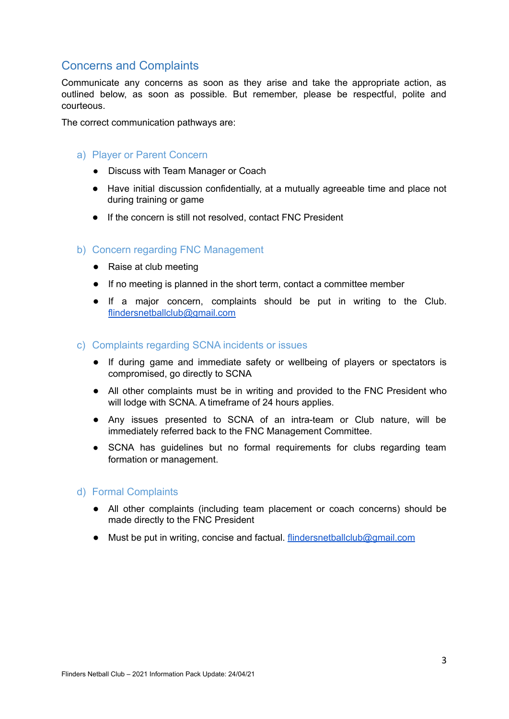# Concerns and Complaints

Communicate any concerns as soon as they arise and take the appropriate action, as outlined below, as soon as possible. But remember, please be respectful, polite and courteous.

The correct communication pathways are:

## a) Player or Parent Concern

- Discuss with Team Manager or Coach
- Have initial discussion confidentially, at a mutually agreeable time and place not during training or game
- If the concern is still not resolved, contact FNC President

## b) Concern regarding FNC Management

- Raise at club meeting
- If no meeting is planned in the short term, contact a committee member
- If a major concern, complaints should be put in writing to the Club. [flindersnetballclub@gmail.com](mailto:flindersnetballclub@gmail.com)

#### c) Complaints regarding SCNA incidents or issues

- If during game and immediate safety or wellbeing of players or spectators is compromised, go directly to SCNA
- All other complaints must be in writing and provided to the FNC President who will lodge with SCNA. A timeframe of 24 hours applies.
- Any issues presented to SCNA of an intra-team or Club nature, will be immediately referred back to the FNC Management Committee.
- SCNA has quidelines but no formal requirements for clubs regarding team formation or management.

## d) Formal Complaints

- All other complaints (including team placement or coach concerns) should be made directly to the FNC President
- Must be put in writing, concise and factual. [flindersnetballclub@gmail.com](mailto:flindersnetballclub@gmail.com)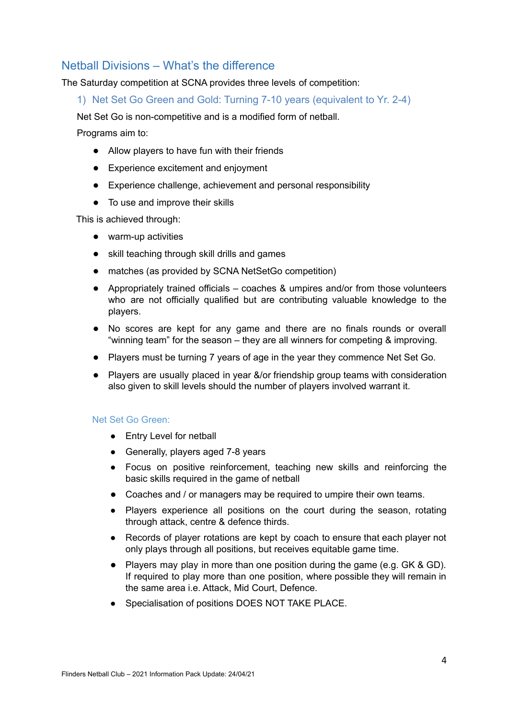# Netball Divisions – What's the difference

The Saturday competition at SCNA provides three levels of competition:

1) Net Set Go Green and Gold: Turning 7-10 years (equivalent to Yr. 2-4)

Net Set Go is non-competitive and is a modified form of netball.

Programs aim to:

- Allow players to have fun with their friends
- Experience excitement and enjoyment
- Experience challenge, achievement and personal responsibility
- To use and improve their skills

This is achieved through:

- warm-up activities
- skill teaching through skill drills and games
- matches (as provided by SCNA NetSetGo competition)
- Appropriately trained officials coaches & umpires and/or from those volunteers who are not officially qualified but are contributing valuable knowledge to the players.
- No scores are kept for any game and there are no finals rounds or overall "winning team" for the season – they are all winners for competing & improving.
- Players must be turning 7 years of age in the year they commence Net Set Go.
- Players are usually placed in year &/or friendship group teams with consideration also given to skill levels should the number of players involved warrant it.

#### Net Set Go Green:

- Entry Level for netball
- Generally, players aged 7-8 years
- Focus on positive reinforcement, teaching new skills and reinforcing the basic skills required in the game of netball
- Coaches and / or managers may be required to umpire their own teams.
- Players experience all positions on the court during the season, rotating through attack, centre & defence thirds.
- Records of player rotations are kept by coach to ensure that each player not only plays through all positions, but receives equitable game time.
- Players may play in more than one position during the game (e.g. GK & GD). If required to play more than one position, where possible they will remain in the same area i.e. Attack, Mid Court, Defence.
- Specialisation of positions DOES NOT TAKE PLACE.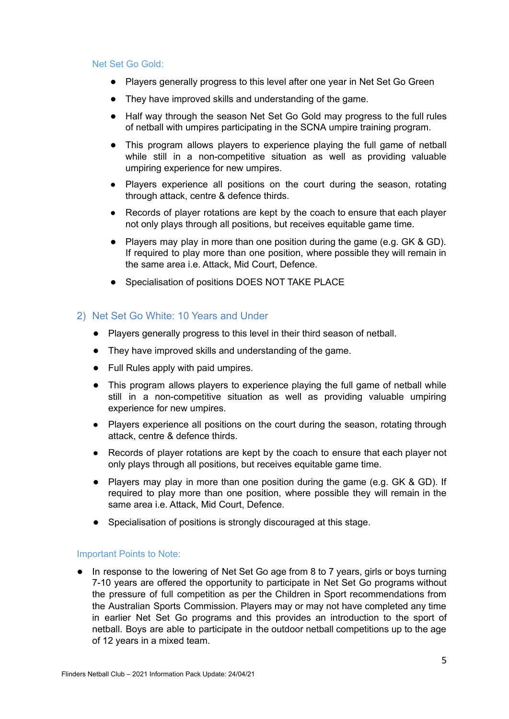#### Net Set Go Gold:

- Players generally progress to this level after one year in Net Set Go Green
- They have improved skills and understanding of the game.
- Half way through the season Net Set Go Gold may progress to the full rules of netball with umpires participating in the SCNA umpire training program.
- This program allows players to experience playing the full game of netball while still in a non-competitive situation as well as providing valuable umpiring experience for new umpires.
- Players experience all positions on the court during the season, rotating through attack, centre & defence thirds.
- Records of player rotations are kept by the coach to ensure that each player not only plays through all positions, but receives equitable game time.
- Players may play in more than one position during the game (e.g. GK & GD). If required to play more than one position, where possible they will remain in the same area i.e. Attack, Mid Court, Defence.
- Specialisation of positions DOES NOT TAKE PLACE

## 2) Net Set Go White: 10 Years and Under

- Players generally progress to this level in their third season of netball.
- They have improved skills and understanding of the game.
- Full Rules apply with paid umpires.
- This program allows players to experience playing the full game of netball while still in a non-competitive situation as well as providing valuable umpiring experience for new umpires.
- Players experience all positions on the court during the season, rotating through attack, centre & defence thirds.
- Records of player rotations are kept by the coach to ensure that each player not only plays through all positions, but receives equitable game time.
- Players may play in more than one position during the game (e.g. GK & GD). If required to play more than one position, where possible they will remain in the same area i.e. Attack, Mid Court, Defence.
- Specialisation of positions is strongly discouraged at this stage.

#### Important Points to Note:

• In response to the lowering of Net Set Go age from 8 to 7 years, girls or boys turning 7-10 years are offered the opportunity to participate in Net Set Go programs without the pressure of full competition as per the Children in Sport recommendations from the Australian Sports Commission. Players may or may not have completed any time in earlier Net Set Go programs and this provides an introduction to the sport of netball. Boys are able to participate in the outdoor netball competitions up to the age of 12 years in a mixed team.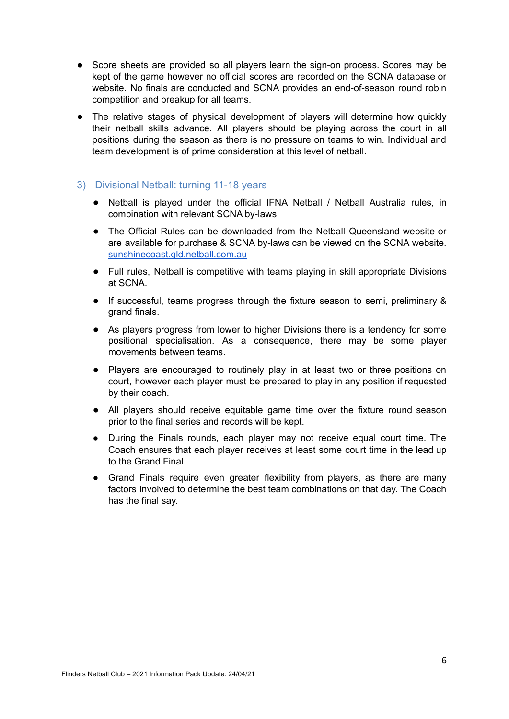- Score sheets are provided so all players learn the sign-on process. Scores may be kept of the game however no official scores are recorded on the SCNA database or website. No finals are conducted and SCNA provides an end-of-season round robin competition and breakup for all teams.
- The relative stages of physical development of players will determine how quickly their netball skills advance. All players should be playing across the court in all positions during the season as there is no pressure on teams to win. Individual and team development is of prime consideration at this level of netball.

# 3) Divisional Netball: turning 11-18 years

- Netball is played under the official IFNA Netball / Netball Australia rules, in combination with relevant SCNA by-laws.
- The Official Rules can be downloaded from the Netball Queensland website or are available for purchase & SCNA by-laws can be viewed on the SCNA website. [sunshinecoast.qld.netball.com.au](http://www.sunshinecoast.qld.netball.com.au/)
- Full rules, Netball is competitive with teams playing in skill appropriate Divisions at SCNA.
- If successful, teams progress through the fixture season to semi, preliminary & grand finals.
- As players progress from lower to higher Divisions there is a tendency for some positional specialisation. As a consequence, there may be some player movements between teams.
- Players are encouraged to routinely play in at least two or three positions on court, however each player must be prepared to play in any position if requested by their coach.
- All players should receive equitable game time over the fixture round season prior to the final series and records will be kept.
- During the Finals rounds, each player may not receive equal court time. The Coach ensures that each player receives at least some court time in the lead up to the Grand Final.
- Grand Finals require even greater flexibility from players, as there are many factors involved to determine the best team combinations on that day. The Coach has the final say.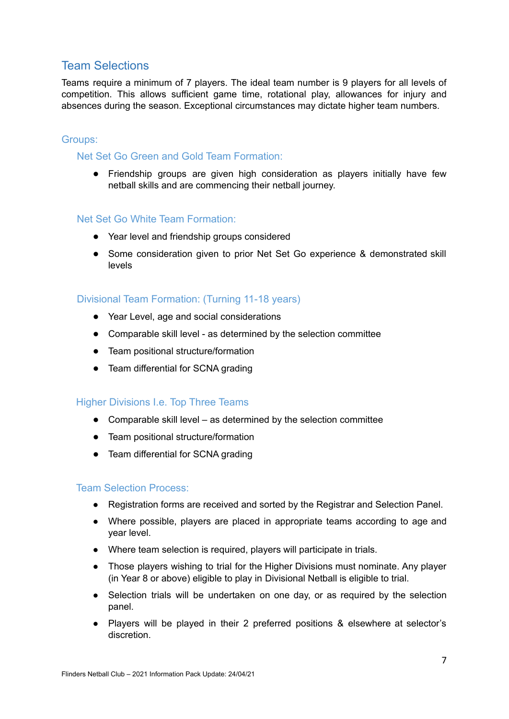# Team Selections

Teams require a minimum of 7 players. The ideal team number is 9 players for all levels of competition. This allows sufficient game time, rotational play, allowances for injury and absences during the season. Exceptional circumstances may dictate higher team numbers.

# Groups:

# Net Set Go Green and Gold Team Formation:

• Friendship groups are given high consideration as players initially have few netball skills and are commencing their netball journey.

## Net Set Go White Team Formation:

- Year level and friendship groups considered
- Some consideration given to prior Net Set Go experience & demonstrated skill levels

# Divisional Team Formation: (Turning 11-18 years)

- Year Level, age and social considerations
- Comparable skill level as determined by the selection committee
- Team positional structure/formation
- Team differential for SCNA grading

## Higher Divisions I.e. Top Three Teams

- Comparable skill level as determined by the selection committee
- Team positional structure/formation
- Team differential for SCNA grading

## Team Selection Process:

- Registration forms are received and sorted by the Registrar and Selection Panel.
- Where possible, players are placed in appropriate teams according to age and year level.
- Where team selection is required, players will participate in trials.
- Those players wishing to trial for the Higher Divisions must nominate. Any player (in Year 8 or above) eligible to play in Divisional Netball is eligible to trial.
- Selection trials will be undertaken on one day, or as required by the selection panel.
- Players will be played in their 2 preferred positions & elsewhere at selector's discretion.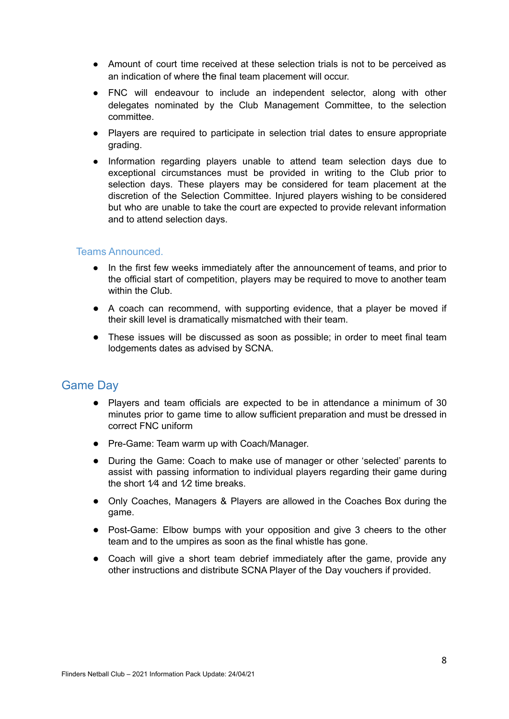- Amount of court time received at these selection trials is not to be perceived as an indication of where the final team placement will occur.
- FNC will endeavour to include an independent selector, along with other delegates nominated by the Club Management Committee, to the selection committee.
- Players are required to participate in selection trial dates to ensure appropriate grading.
- Information regarding players unable to attend team selection days due to exceptional circumstances must be provided in writing to the Club prior to selection days. These players may be considered for team placement at the discretion of the Selection Committee. Injured players wishing to be considered but who are unable to take the court are expected to provide relevant information and to attend selection days.

# Teams Announced.

- In the first few weeks immediately after the announcement of teams, and prior to the official start of competition, players may be required to move to another team within the Club.
- A coach can recommend, with supporting evidence, that a player be moved if their skill level is dramatically mismatched with their team.
- These issues will be discussed as soon as possible; in order to meet final team lodgements dates as advised by SCNA.

# Game Day

- Players and team officials are expected to be in attendance a minimum of 30 minutes prior to game time to allow sufficient preparation and must be dressed in correct FNC uniform
- Pre-Game: Team warm up with Coach/Manager.
- During the Game: Coach to make use of manager or other 'selected' parents to assist with passing information to individual players regarding their game during the short  $1/4$  and  $1/2$  time breaks.
- Only Coaches, Managers & Players are allowed in the Coaches Box during the game.
- Post-Game: Elbow bumps with your opposition and give 3 cheers to the other team and to the umpires as soon as the final whistle has gone.
- Coach will give a short team debrief immediately after the game, provide any other instructions and distribute SCNA Player of the Day vouchers if provided.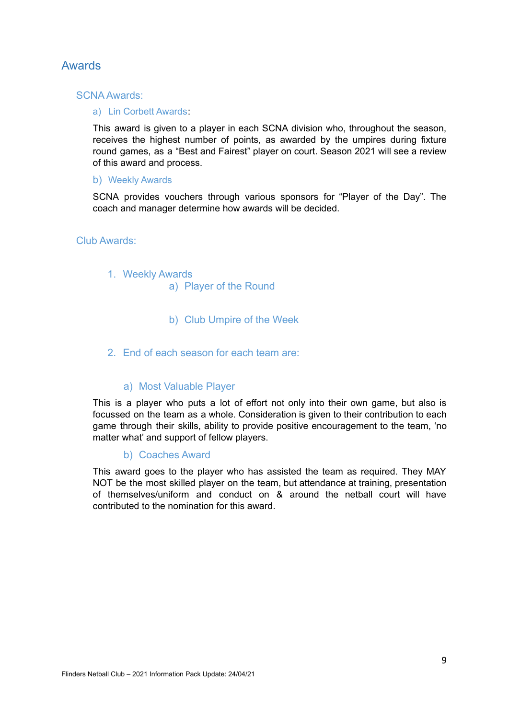# Awards

## SCNA Awards:

#### a) Lin Corbett Awards:

This award is given to a player in each SCNA division who, throughout the season, receives the highest number of points, as awarded by the umpires during fixture round games, as a "Best and Fairest" player on court. Season 2021 will see a review of this award and process.

## b) Weekly Awards

SCNA provides vouchers through various sponsors for "Player of the Day". The coach and manager determine how awards will be decided.

#### Club Awards:

- 1. Weekly Awards
	- a) Player of the Round
	- b) Club Umpire of the Week
- 2. End of each season for each team are:

## a) Most Valuable Player

This is a player who puts a lot of effort not only into their own game, but also is focussed on the team as a whole. Consideration is given to their contribution to each game through their skills, ability to provide positive encouragement to the team, 'no matter what' and support of fellow players.

## b) Coaches Award

This award goes to the player who has assisted the team as required. They MAY NOT be the most skilled player on the team, but attendance at training, presentation of themselves/uniform and conduct on & around the netball court will have contributed to the nomination for this award.